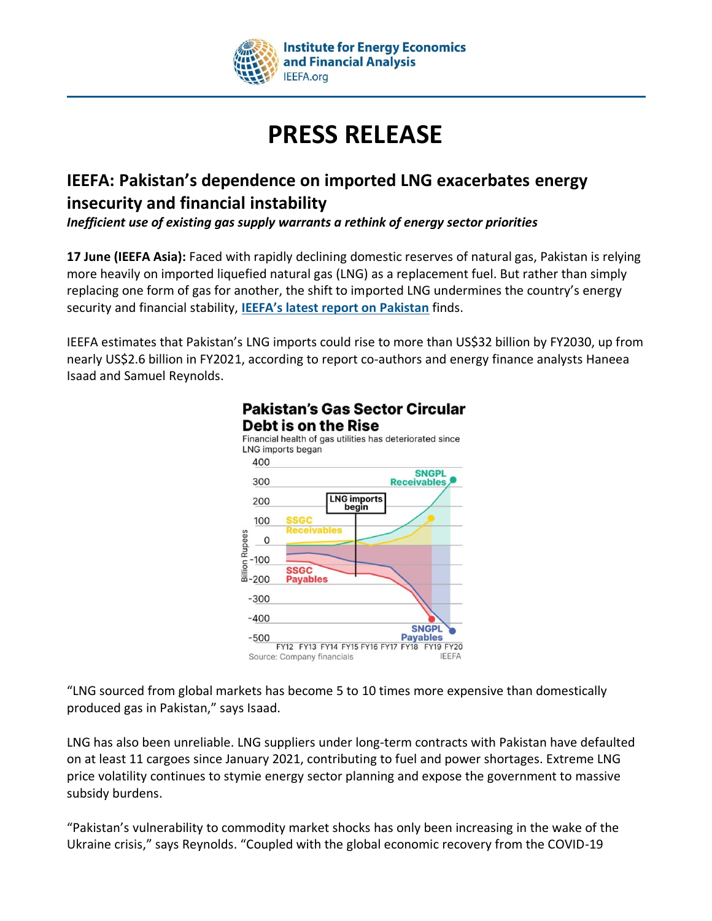

# **PRESS RELEASE**

## **IEEFA: Pakistan's dependence on imported LNG exacerbates energy insecurity and financial instability**

*Inefficient use of existing gas supply warrants a rethink of energy sector priorities*

**17 June (IEEFA Asia):** Faced with rapidly declining domestic reserves of natural gas, Pakistan is relying more heavily on imported liquefied natural gas (LNG) as a replacement fuel. But rather than simply replacing one form of gas for another, the shift to imported LNG undermines the country's energy security and financial stability, **[IEEFA's latest report on Pakistan](https://ieefa.org/sites/default/files/2022-06/Rising%20LNG%20Dependence%20in%20Pakistan_June%202022.pdf)** finds.

IEEFA estimates that Pakistan's LNG imports could rise to more than US\$32 billion by FY2030, up from nearly US\$2.6 billion in FY2021, according to report co-authors and energy finance analysts Haneea Isaad and Samuel Reynolds.



### **Pakistan's Gas Sector Circular Debt is on the Rise**

"LNG sourced from global markets has become 5 to 10 times more expensive than domestically produced gas in Pakistan," says Isaad.

LNG has also been unreliable. LNG suppliers under long-term contracts with Pakistan have defaulted on at least 11 cargoes since January 2021, contributing to fuel and power shortages. Extreme LNG price volatility continues to stymie energy sector planning and expose the government to massive subsidy burdens.

"Pakistan's vulnerability to commodity market shocks has only been increasing in the wake of the Ukraine crisis," says Reynolds. "Coupled with the global economic recovery from the COVID-19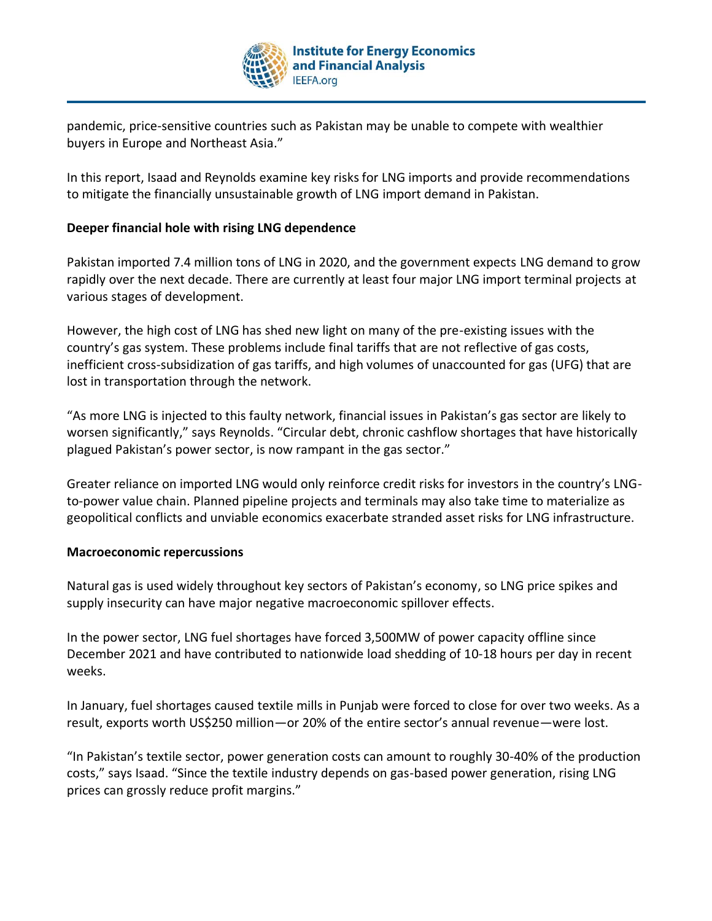

pandemic, price-sensitive countries such as Pakistan may be unable to compete with wealthier buyers in Europe and Northeast Asia."

In this report, Isaad and Reynolds examine key risks for LNG imports and provide recommendations to mitigate the financially unsustainable growth of LNG import demand in Pakistan.

#### **Deeper financial hole with rising LNG dependence**

Pakistan imported 7.4 million tons of LNG in 2020, and the government expects LNG demand to grow rapidly over the next decade. There are currently at least four major LNG import terminal projects at various stages of development.

However, the high cost of LNG has shed new light on many of the pre-existing issues with the country's gas system. These problems include final tariffs that are not reflective of gas costs, inefficient cross-subsidization of gas tariffs, and high volumes of unaccounted for gas (UFG) that are lost in transportation through the network.

"As more LNG is injected to this faulty network, financial issues in Pakistan's gas sector are likely to worsen significantly," says Reynolds. "Circular debt, chronic cashflow shortages that have historically plagued Pakistan's power sector, is now rampant in the gas sector."

Greater reliance on imported LNG would only reinforce credit risks for investors in the country's LNGto-power value chain. Planned pipeline projects and terminals may also take time to materialize as geopolitical conflicts and unviable economics exacerbate stranded asset risks for LNG infrastructure.

#### **Macroeconomic repercussions**

Natural gas is used widely throughout key sectors of Pakistan's economy, so LNG price spikes and supply insecurity can have major negative macroeconomic spillover effects.

In the power sector, LNG fuel shortages have forced 3,500MW of power capacity offline since December 2021 and have contributed to nationwide load shedding of 10-18 hours per day in recent weeks.

In January, fuel shortages caused textile mills in Punjab were forced to close for over two weeks. As a result, exports worth US\$250 million—or 20% of the entire sector's annual revenue—were lost.

"In Pakistan's textile sector, power generation costs can amount to roughly 30-40% of the production costs," says Isaad. "Since the textile industry depends on gas-based power generation, rising LNG prices can grossly reduce profit margins."